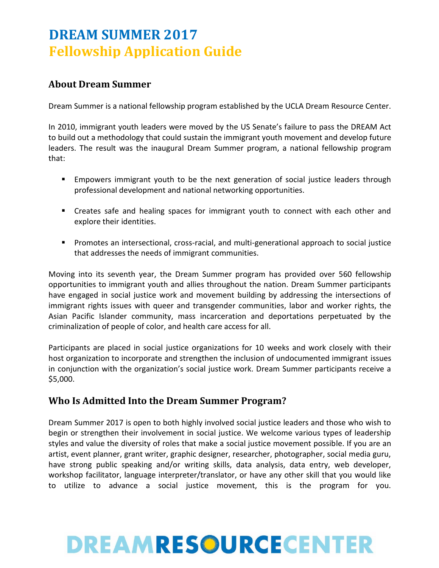# **DREAM SUMMER 2017 Fellowship Application Guide**

### **About Dream Summer**

Dream Summer is a national fellowship program established by the UCLA Dream Resource Center.

In 2010, immigrant youth leaders were moved by the US Senate's failure to pass the DREAM Act to build out a methodology that could sustain the immigrant youth movement and develop future leaders. The result was the inaugural Dream Summer program, a national fellowship program that:

- Empowers immigrant youth to be the next generation of social justice leaders through professional development and national networking opportunities.
- Creates safe and healing spaces for immigrant youth to connect with each other and explore their identities.
- **Promotes an intersectional, cross-racial, and multi-generational approach to social justice** that addresses the needs of immigrant communities.

Moving into its seventh year, the Dream Summer program has provided over 560 fellowship opportunities to immigrant youth and allies throughout the nation. Dream Summer participants have engaged in social justice work and movement building by addressing the intersections of immigrant rights issues with queer and transgender communities, labor and worker rights, the Asian Pacific Islander community, mass incarceration and deportations perpetuated by the criminalization of people of color, and health care access for all.

Participants are placed in social justice organizations for 10 weeks and work closely with their host organization to incorporate and strengthen the inclusion of undocumented immigrant issues in conjunction with the organization's social justice work. Dream Summer participants receive a \$5,000.

### **Who Is Admitted Into the Dream Summer Program?**

Dream Summer 2017 is open to both highly involved social justice leaders and those who wish to begin or strengthen their involvement in social justice. We welcome various types of leadership styles and value the diversity of roles that make a social justice movement possible. If you are an artist, event planner, grant writer, graphic designer, researcher, photographer, social media guru, have strong public speaking and/or writing skills, data analysis, data entry, web developer, workshop facilitator, language interpreter/translator, or have any other skill that you would like to utilize to advance a social justice movement, this is the program for you.

# DREAMRESOURCECENTER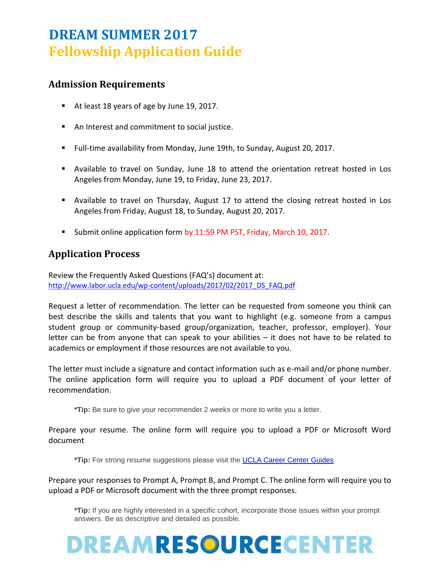# **DREAM SUMMER 2017 Fellowship Application Guide**

## **Admission Requirements**

- At least 18 years of age by June 19, 2017.
- An Interest and commitment to social justice.
- Full-time availability from Monday, June 19th, to Sunday, August 20, 2017.
- Available to travel on Sunday, June 18 to attend the orientation retreat hosted in Los Angeles from Monday, June 19, to Friday, June 23, 2017.
- Available to travel on Thursday, August 17 to attend the closing retreat hosted in Los Angeles from Friday, August 18, to Sunday, August 20, 2017.
- Submit online application form by 11:59 PM PST, Friday, March 10, 2017.

### **Application Process**

Review the Frequently Asked Questions (FAQ's) document at: [http://www.labor.ucla.edu/wp-content/uploads/2017/02/2017\\_DS\\_FAQ.pdf](http://www.labor.ucla.edu/wp-content/uploads/2017/02/2017_DS_FAQ.pdf)

Request a letter of recommendation. The letter can be requested from someone you think can best describe the skills and talents that you want to highlight (e.g. someone from a campus student group or community-based group/organization, teacher, professor, employer). Your letter can be from anyone that can speak to your abilities – it does not have to be related to academics or employment if those resources are not available to you.

The letter must include a signature and contact information such as e-mail and/or phone number. The online application form will require you to upload a PDF document of your letter of recommendation.

**\*Tip:** Be sure to give your recommender 2 weeks or more to write you a letter.

Prepare your resume. The online form will require you to upload a PDF or Microsoft Word document

**\*Tip:** For strong resume suggestions please visit the [UCLA Career Center Guides](http://www.career.ucla.edu/Portals/14/Documents/PDF/CareerGuide/2014/CG_2014_2015_Chapter5_082814.pdf)

Prepare your responses to Prompt A, Prompt B, and Prompt C. The online form will require you to upload a PDF or Microsoft document with the three prompt responses.

**\*Tip:** If you are highly interested in a specific cohort, incorporate those issues within your prompt answers. Be as descriptive and detailed as possible.

# DREAMRESOURCECENTER